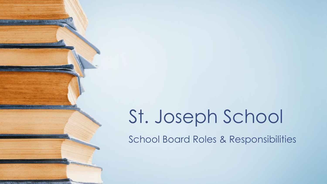# St. Joseph School

School Board Roles & Responsibilities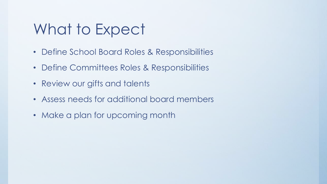### What to Expect

- Define School Board Roles & Responsibilities
- Define Committees Roles & Responsibilities
- Review our gifts and talents
- Assess needs for additional board members
- Make a plan for upcoming month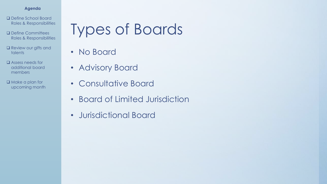- ❑ Define School Board Roles & Responsibilities
- ❑ Define Committees Roles & Responsibilities
- ❑ Review our gifts and talents
- ❑ Assess needs for additional board members
- ❑ Make a plan for upcoming month

### Types of Boards

- No Board
- Advisory Board
- Consultative Board
- Board of Limited Jurisdiction
- Jurisdictional Board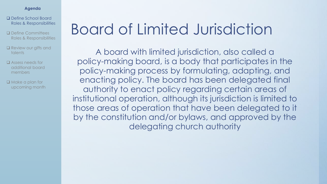- ❑ Define School Board Roles & Responsibilities
- ❑ Define Committees Roles & Responsibilities
- ❑ Review our gifts and talents
- ❑ Assess needs for additional board members
- ❑ Make a plan for upcoming month

### Board of Limited Jurisdiction

A board with limited jurisdiction, also called a policy-making board, is a body that participates in the policy-making process by formulating, adapting, and enacting policy. The board has been delegated final authority to enact policy regarding certain areas of institutional operation, although its jurisdiction is limited to those areas of operation that have been delegated to it by the constitution and/or bylaws, and approved by the delegating church authority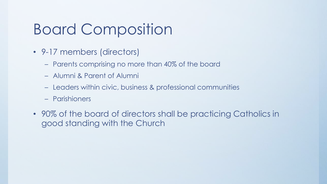### Board Composition

- 9-17 members (directors)
	- Parents comprising no more than 40% of the board
	- Alumni & Parent of Alumni
	- Leaders within civic, business & professional communities
	- Parishioners
- 90% of the board of directors shall be practicing Catholics in good standing with the Church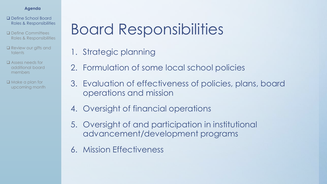- ❑ Define School Board Roles & Responsibilities
- ❑ Define Committees Roles & Responsibilities
- ❑ Review our gifts and talents
- ❑ Assess needs for additional board members
- ❑ Make a plan for upcoming month

### Board Responsibilities

- 1. Strategic planning
- 2. Formulation of some local school policies
- 3. Evaluation of effectiveness of policies, plans, board operations and mission
- 4. Oversight of financial operations
- 5. Oversight of and participation in institutional advancement/development programs
- 6. Mission Effectiveness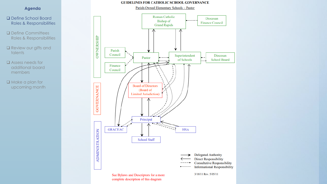#### **GUIDELINES FOR CATHOLIC SCHOOL GOVERNANCE**

Parish-Owned Elementary Schools - Pastor

#### **Agenda**

- ❑ Define School Board Roles & Responsibilities
- ❑ Define Committees Roles & Responsibilities
- ❑ Review our gifts and talents
- ❑ Assess needs for additional board members
- ❑ Make a plan for upcoming month

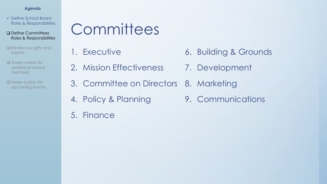- ✓ Define School Board Roles & Responsibilities
- ❑ Define Committees Roles & Responsibilities
- □ Review our gifts and talents
- ❑ Assess needs for additional board members

❑ Make a plan for upcoming month

### **Committees**

- 1. Executive
- 2. Mission Effectiveness
- 6. Building & Grounds
- 7. Development
- 3. Committee on Directors 8. Marketing
- 4. Policy & Planning
- 5. Finance

9. Communications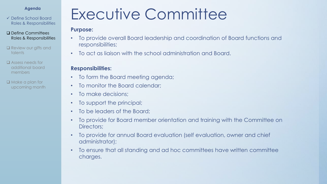✓ Define School Board Roles & Responsibilities

- ❑ Define Committees Roles & Responsibilities
- □ Review our gifts and talents
- ❑ Assess needs for additional board members
- ❑ Make a plan for upcoming month

### Executive Committee

#### **Purpose:**

- To provide overall Board leadership and coordination of Board functions and responsibilities;
- To act as liaison with the school administration and Board.

- To form the Board meeting agenda;
- To monitor the Board calendar;
- To make decisions:
- To support the principal;
- To be leaders of the Board:
- To provide for Board member orientation and training with the Committee on Directors;
- To provide for annual Board evaluation (self evaluation, owner and chief administrator);
- To ensure that all standing and ad hoc committees have written committee charges.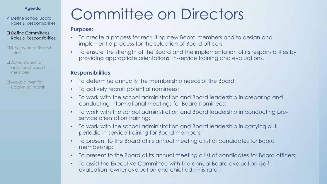✓ Define School Board Roles & Responsibilities

- ❑ Define Committees Roles & Responsibilities
- ❑ Review our gifts and talents
- ❑ Assess needs for additional board members
- ❑ Make a plan for upcoming month

### Committee on Directors

#### **Purpose:**

- To create a process for recruiting new Board members and to design and implement a process for the selection of Board officers;
- To ensure the strength of the Board and the implementation of its responsibilities by providing appropriate orientations, in-service training and evaluations.

- To determine annually the membership needs of the Board;
- To actively recruit potential nominees;
- To work with the school administration and Board leadership in preparing and conducting informational meetings for Board nominees;
- To work with the school administration and Board leadership in conducting preservice orientation training;
- To work with the school administration and Board leadership in carrying out periodic in-service training for Board members;
- To present to the Board at its annual meeting a list of candidates for Board membership;
- To present to the Board at its annual meeting a list of candidates for Board officers;
- To assist the Executive Committee with the annual Board evaluation (selfevaluation, owner evaluation and chief administrator).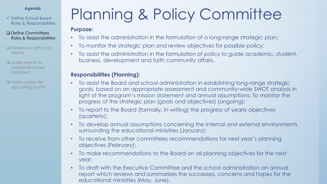✓ Define School Board Roles & Responsibilities

- ❑ Define Committees Roles & Responsibilities
- □ Review our gifts and talents
- ❑ Assess needs for additional board members
- ❑ Make a plan for upcoming month

## Planning & Policy Committee

#### **Purpose:**

- To assist the administration in the formulation of a long-range strategic plan;
- To monitor the strategic plan and review objectives for possible policy;
- To assist the administration in the formulation of policy to guide academic, student, business, development and faith community affairs.

### **Responsibilities (Planning):**

- To assist the Board and school administration in establishing long-range strategic goals, based on an appropriate assessment and community-wide SWOT analysis in light of the program's mission statement and annual assumptions; To monitor the progress of the strategic plan (goals and objectives) (ongoing);
- To report to the Board (formally, in writing) the progress of yearly objectives (quarterly);
- To develop annual assumptions concerning the internal and external environments surrounding the educational ministries (January);
- To receive from other committees recommendations for next year's planning objectives (February);
- To make recommendations to the Board on all planning objectives for the next year;
- To draft with the Executive Committee and the school administration an annual report which reviews and summarizes the successes, concerns and hopes for the educational ministries (May, June).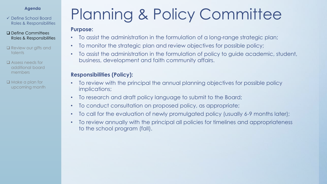✓ Define School Board Roles & Responsibilities

- ❑ Define Committees Roles & Responsibilities
- □ Review our gifts and talents
- ❑ Assess needs for additional board members
- ❑ Make a plan for upcoming month

## Planning & Policy Committee

#### **Purpose:**

- To assist the administration in the formulation of a long-range strategic plan;
- To monitor the strategic plan and review objectives for possible policy;
- To assist the administration in the formulation of policy to guide academic, student, business, development and faith community affairs.

### **Responsibilities (Policy):**

- To review with the principal the annual planning objectives for possible policy implications;
- To research and draft policy language to submit to the Board;
- To conduct consultation on proposed policy, as appropriate;
- To call for the evaluation of newly promulgated policy (usually 6-9 months later);
- To review annually with the principal all policies for timelines and appropriateness to the school program (fall).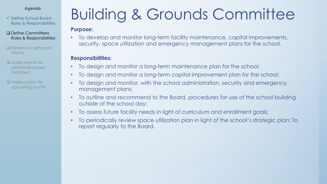#### ✓ Define School Board Roles & Responsibilities

- ❑ Define Committees Roles & Responsibilities
- □ Review our gifts and talents
- ❑ Assess needs for additional board members
- ❑ Make a plan for upcoming month

### Building & Grounds Committee

#### **Purpose:**

• To develop and monitor long-term facility maintenance, capital improvements, security, space utilization and emergency management plans for the school.

- To design and monitor a long-term maintenance plan for the school;
- To design and monitor a long-term capital improvement plan for the school;
- To design and monitor, with the school administration, security and emergency management plans;
- To outline and recommend to the Board, procedures for use of the school building outside of the school day;
- To assess future facility needs in light of curriculum and enrollment goals;
- To periodically review space utilization plan in light of the school's strategic plan; To report regularly to the Board.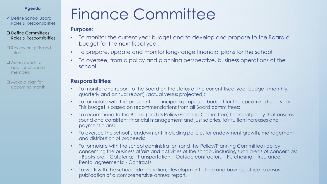✓ Define School Board Roles & Responsibilities

- ❑ Define Committees Roles & Responsibilities
- □ Review our gifts and talents
- ❑ Assess needs for additional board members
- ❑ Make a plan for upcoming month

### Finance Committee

#### **Purpose:**

- To monitor the current year budget and to develop and propose to the Board a budget for the next fiscal year;
- To prepare, update and monitor long-range financial plans for the school;
- To oversee, from a policy and planning perspective, business operations of the school.

- To monitor and report to the Board on the status of the current fiscal year budget (monthly, quarterly and annual report) (actual versus projected);
- To formulate with the president or principal a proposed budget for the upcoming fiscal year. This budget is based on recommendations from all Board committees;
- To recommend to the Board (and its Policy/Planning Committee) financial policy that ensures sound and consistent financial management and just salaries, fair tuition increases and payment plans;
- To oversee the school's endowment, including policies for endowment growth, management and distribution of proceeds;
- To formulate with the school administration (and the Policy/Planning Committee) policy concerning the business affairs and activities of the school, including such areas of concern as: - Bookstore; - Cafeteria; - Transportation; - Outside contractors; - Purchasing; - Insurance; - Rental agreements; - Contracts.
- To work with the school administration, development office and business office to ensure publication of a comprehensive annual report.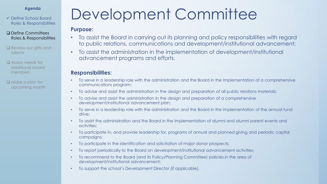- ✓ Define School Board Roles & Responsibilities
- ❑ Define Committees Roles & Responsibilities
- □ Review our gifts and talents
- ❑ Assess needs for additional board members
- ❑ Make a plan for upcoming month

### Development Committee

#### **Purpose:**

- To assist the Board in carrying out its planning and policy responsibilities with regard to public relations, communications and development/institutional advancement;
- To assist the administration in the implementation of development/institutional advancement programs and efforts.

- To serve in a leadership role with the administration and the Board in the implementation of a comprehensive communications program;
- To advise and assist the administration in the design and preparation of all public relations materials;
- To advise and assist the administration in the design and preparation of a comprehensive development/institutional advancement plan;
- To serve in a leadership role with the administration and the Board in the implementation of the annual fund drive;
- To assist the administration and the Board in the implementation of alumni and alumni parent events and activities;
- To participate in, and provide leadership for, programs of annual and planned giving and periodic capital campaigns;
- To participate in the identification and solicitation of major donor prospects;
- To report periodically to the Board on development/institutional advancement activities;
- To recommend to the Board (and its Policy/Planning Committee) policies in the area of development/institutional advancement;
- To support the school's Development Director (if applicable).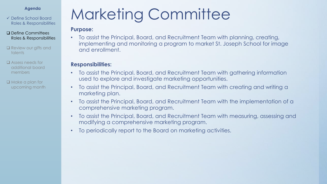- ✓ Define School Board Roles & Responsibilities
- ❑ Define Committees Roles & Responsibilities
- ❑ Review our gifts and talents
- ❑ Assess needs for additional board members
- ❑ Make a plan for upcoming month

### Marketing Committee

#### **Purpose:**

• To assist the Principal, Board, and Recruitment Team with planning, creating, implementing and monitoring a program to market St. Joseph School for image and enrollment.

- To assist the Principal, Board, and Recruitment Team with gathering information used to explore and investigate marketing opportunities.
- To assist the Principal, Board, and Recruitment Team with creating and writing a marketing plan.
- To assist the Principal, Board, and Recruitment Team with the implementation of a comprehensive marketing program.
- To assist the Principal, Board, and Recruitment Team with measuring, assessing and modifying a comprehensive marketing program.
- To periodically report to the Board on marketing activities.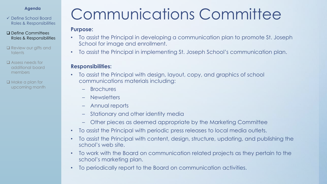- ✓ Define School Board Roles & Responsibilities
- ❑ Define Committees Roles & Responsibilities
- ❑ Review our gifts and talents
- ❑ Assess needs for additional board members
- ❑ Make a plan for upcoming month

### Communications Committee

#### **Purpose:**

- To assist the Principal in developing a communication plan to promote St. Joseph School for image and enrollment.
- To assist the Principal in implementing St. Joseph School's communication plan.

- To assist the Principal with design, layout, copy, and graphics of school communications materials including:
	- Brochures
	- Newsletters
	- Annual reports
	- Stationary and other identity media
	- Other pieces as deemed appropriate by the Marketing Committee
- To assist the Principal with periodic press releases to local media outlets.
- To assist the Principal with content, design, structure, updating, and publishing the school's web site.
- To work with the Board on communication related projects as they pertain to the school's marketing plan.
- To periodically report to the Board on communication activities.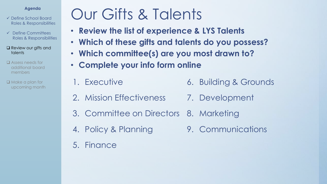- ✓ Define School Board Roles & Responsibilities
- ✓ Define Committees Roles & Responsibilities
- ❑ Review our gifts and talents
- ❑ Assess needs for additional board members
- ❑ Make a plan for upcoming month

### Our Gifts & Talents

- **Review the list of experience & LYS Talents**
- **Which of these gifts and talents do you possess?**
- **Which committee(s) are you most drawn to?**
- **Complete your info form online**
- 1. Executive
- 6. Building & Grounds
- 2. Mission Effectiveness 7. Development
- 3. Committee on Directors 8. Marketing
- 4. Policy & Planning
- 5. Finance

9. Communications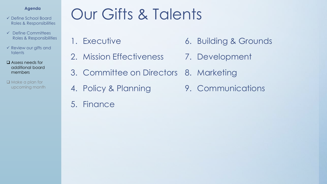- ✓ Define School Board Roles & Responsibilities
- ✓ Define Committees Roles & Responsibilities
- ✓ Review our gifts and talents
- ❑ Assess needs for additional board members
- ❑ Make a plan for upcoming month

### Agenda<br>**Agenda Cur Gifts & Talents**

- 1. Executive
- 2. Mission Effectiveness
- 6. Building & Grounds
- 7. Development
- 3. Committee on Directors 8. Marketing
- 4. Policy & Planning
- 5. Finance

9. Communications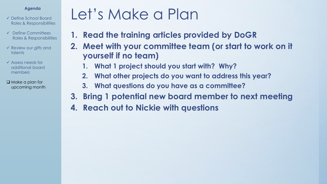- ✓ Define School Board Roles & Responsibilities
- ✓ Define Committees Roles & Responsibilities
- $\checkmark$  Review our gifts and talents
- ✓ Assess needs for additional board members

❑ Make a plan for upcoming month

### Agenda<br>Agenda **Let's Make a Plan**

- **1. Read the training articles provided by DoGR**
- **2. Meet with your committee team (or start to work on it yourself if no team)**
	- **1. What 1 project should you start with? Why?**
	- **2. What other projects do you want to address this year?**
	- **3. What questions do you have as a committee?**
- **3. Bring 1 potential new board member to next meeting**
- **4. Reach out to Nickie with questions**